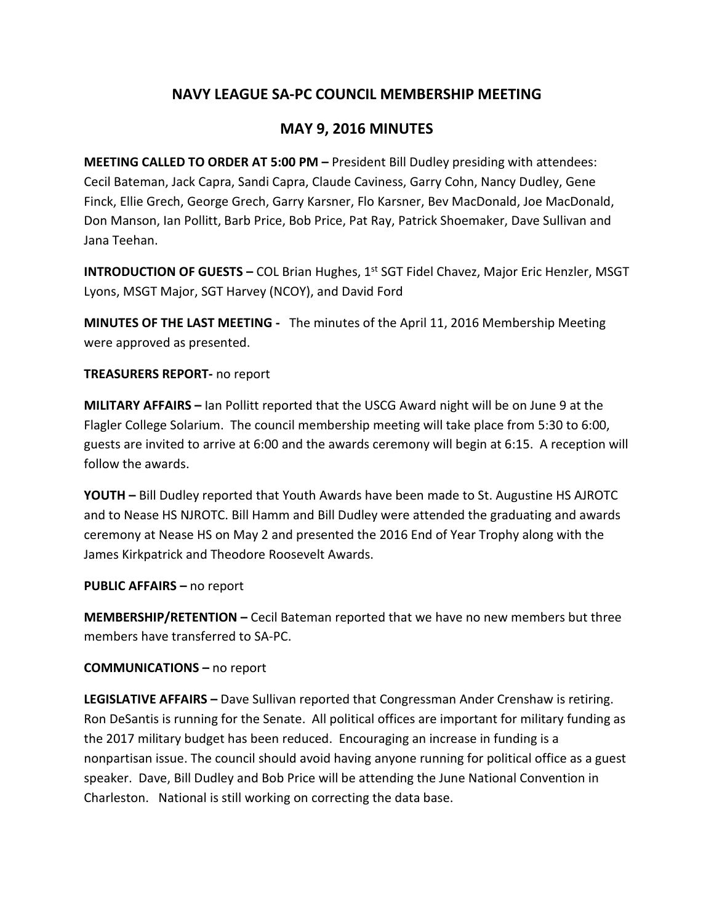# **NAVY LEAGUE SA-PC COUNCIL MEMBERSHIP MEETING**

### **MAY 9, 2016 MINUTES**

**MEETING CALLED TO ORDER AT 5:00 PM –** President Bill Dudley presiding with attendees: Cecil Bateman, Jack Capra, Sandi Capra, Claude Caviness, Garry Cohn, Nancy Dudley, Gene Finck, Ellie Grech, George Grech, Garry Karsner, Flo Karsner, Bev MacDonald, Joe MacDonald, Don Manson, Ian Pollitt, Barb Price, Bob Price, Pat Ray, Patrick Shoemaker, Dave Sullivan and Jana Teehan.

**INTRODUCTION OF GUESTS – COL Brian Hughes, 1st SGT Fidel Chavez, Major Eric Henzler, MSGT** Lyons, MSGT Major, SGT Harvey (NCOY), and David Ford

**MINUTES OF THE LAST MEETING -** The minutes of the April 11, 2016 Membership Meeting were approved as presented.

#### **TREASURERS REPORT-** no report

**MILITARY AFFAIRS –** Ian Pollitt reported that the USCG Award night will be on June 9 at the Flagler College Solarium. The council membership meeting will take place from 5:30 to 6:00, guests are invited to arrive at 6:00 and the awards ceremony will begin at 6:15. A reception will follow the awards.

**YOUTH –** Bill Dudley reported that Youth Awards have been made to St. Augustine HS AJROTC and to Nease HS NJROTC. Bill Hamm and Bill Dudley were attended the graduating and awards ceremony at Nease HS on May 2 and presented the 2016 End of Year Trophy along with the James Kirkpatrick and Theodore Roosevelt Awards.

**PUBLIC AFFAIRS –** no report

**MEMBERSHIP/RETENTION –** Cecil Bateman reported that we have no new members but three members have transferred to SA-PC.

#### **COMMUNICATIONS –** no report

**LEGISLATIVE AFFAIRS –** Dave Sullivan reported that Congressman Ander Crenshaw is retiring. Ron DeSantis is running for the Senate. All political offices are important for military funding as the 2017 military budget has been reduced. Encouraging an increase in funding is a nonpartisan issue. The council should avoid having anyone running for political office as a guest speaker. Dave, Bill Dudley and Bob Price will be attending the June National Convention in Charleston. National is still working on correcting the data base.